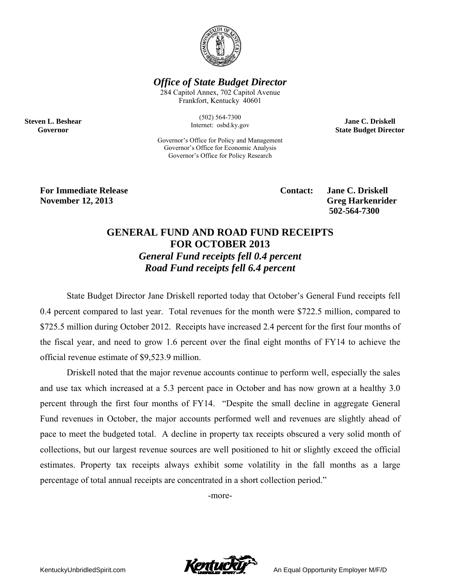

**Office of State Budget Director** 

284 Capitol Annex, 702 Capitol Avenue Frankfort, Kentucky 40601

> $(502) 564 - 7300$ Internet: osbd.ky.gov

Governor's Office for Policy and Management Governor's Office for Economic Analysis Governor's Office for Policy Research

**Jane C. Driskell State Budget Director** 

**For Immediate Release November 12, 2013** 

**Steven L. Beshear** 

Governor

Contact:

**Jane C. Driskell Greg Harkenrider** 502-564-7300

## **GENERAL FUND AND ROAD FUND RECEIPTS FOR OCTOBER 2013 General Fund receipts fell 0.4 percent** Road Fund receipts fell 6.4 percent

State Budget Director Jane Driskell reported today that October's General Fund receipts fell 0.4 percent compared to last year. Total revenues for the month were \$722.5 million, compared to \$725.5 million during October 2012. Receipts have increased 2.4 percent for the first four months of the fiscal year, and need to grow 1.6 percent over the final eight months of FY14 to achieve the official revenue estimate of \$9,523.9 million.

Driskell noted that the major revenue accounts continue to perform well, especially the sales and use tax which increased at a 5.3 percent pace in October and has now grown at a healthy 3.0 percent through the first four months of FY14. "Despite the small decline in aggregate General Fund revenues in October, the major accounts performed well and revenues are slightly ahead of pace to meet the budgeted total. A decline in property tax receipts obscured a very solid month of collections, but our largest revenue sources are well positioned to hit or slightly exceed the official estimates. Property tax receipts always exhibit some volatility in the fall months as a large percentage of total annual receipts are concentrated in a short collection period."

-more-

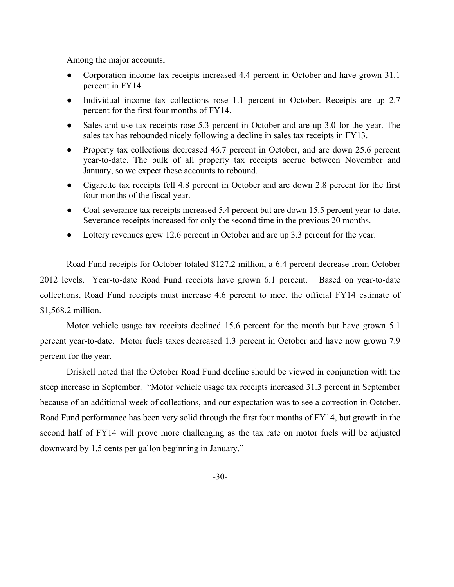Among the major accounts,

- Corporation income tax receipts increased 4.4 percent in October and have grown 31.1 percent in FY14.
- Individual income tax collections rose 1.1 percent in October. Receipts are up 2.7 percent for the first four months of FY14.
- Sales and use tax receipts rose 5.3 percent in October and are up 3.0 for the year. The sales tax has rebounded nicely following a decline in sales tax receipts in FY13.
- Property tax collections decreased 46.7 percent in October, and are down 25.6 percent year-to-date. The bulk of all property tax receipts accrue between November and January, so we expect these accounts to rebound.
- Cigarette tax receipts fell 4.8 percent in October and are down 2.8 percent for the first four months of the fiscal year.
- Coal severance tax receipts increased 5.4 percent but are down 15.5 percent year-to-date. Severance receipts increased for only the second time in the previous 20 months.
- Lottery revenues grew 12.6 percent in October and are up 3.3 percent for the year.

Road Fund receipts for October totaled \$127.2 million, a 6.4 percent decrease from October 2012 levels. Year-to-date Road Fund receipts have grown 6.1 percent. Based on year-to-date collections, Road Fund receipts must increase 4.6 percent to meet the official FY14 estimate of \$1,568.2 million.

Motor vehicle usage tax receipts declined 15.6 percent for the month but have grown 5.1 percent year-to-date. Motor fuels taxes decreased 1.3 percent in October and have now grown 7.9 percent for the year.

Driskell noted that the October Road Fund decline should be viewed in conjunction with the steep increase in September. "Motor vehicle usage tax receipts increased 31.3 percent in September because of an additional week of collections, and our expectation was to see a correction in October. Road Fund performance has been very solid through the first four months of FY14, but growth in the second half of FY14 will prove more challenging as the tax rate on motor fuels will be adjusted downward by 1.5 cents per gallon beginning in January."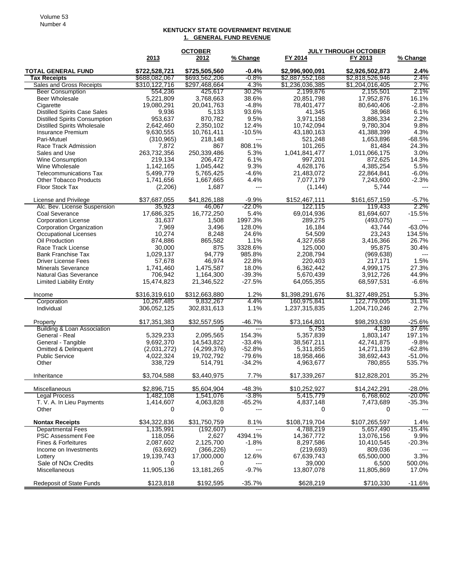## **KENTUCKY STATE GOVERNMENT REVENUE 1. GENERAL FUND REVENUE**

|                                                                 |                          | <b>OCTOBER</b>            |                      |                         | <b>JULY THROUGH OCTOBER</b> |                     |
|-----------------------------------------------------------------|--------------------------|---------------------------|----------------------|-------------------------|-----------------------------|---------------------|
|                                                                 | 2013                     | 2012                      | % Change             | FY 2014                 | FY 2013                     | % Change            |
| <b>TOTAL GENERAL FUND</b>                                       | \$722,528,721            | \$725,505,560             | $-0.4%$              | \$2,996,900,091         | \$2,926,502,873             | 2.4%                |
| <b>Tax Receipts</b>                                             | \$688,082,067            | \$693,562,206             | -0.8%                | \$2,887,552,168         | \$2,818,526,946             | 2.4%                |
| Sales and Gross Receipts                                        | \$310,122,716            | \$297,468,664             | 4.3%                 | \$1,236,036,385         | \$1,204,016,405             | 2.7%                |
| <b>Beer Consumption</b>                                         | 554,236                  | 425,617                   | 30.2%                | 2,199,876               | 2,155,501                   | $2.1\%$             |
| <b>Beer Wholesale</b>                                           | 5,221,809                | 3,768,663                 | 38.6%                | 20,851,798              | 17,952,876                  | 16.1%               |
| Cigarette                                                       | 19,080,291               | 20,041,763                | $-4.8%$              | 78,401,477              | 80,640,406                  | $-2.8%$             |
| <b>Distilled Spirits Case Sales</b>                             | 9,936                    | 5,133                     | 93.6%                | 41,345                  | 38,968                      | 6.1%                |
| <b>Distilled Spirits Consumption</b>                            | 953,637                  | 870,782                   | 9.5%                 | 3,971,158               | 3,886,334                   | 2.2%                |
| <b>Distilled Spirits Wholesale</b>                              | 2,642,460                | 2,350,102                 | 12.4%                | 10,742,094              | 9,780,304                   | 9.8%                |
| Insurance Premium                                               | 9,630,555                | 10,761,411                | $-10.5%$<br>$---$    | 43,180,163              | 41,388,399                  | 4.3%<br>$-68.5%$    |
| Pari-Mutuel<br>Race Track Admission                             | (310, 965)<br>7,872      | 218,148<br>867            | 808.1%               | 521,248<br>101,265      | 1,653,896<br>81,484         | 24.3%               |
| Sales and Use                                                   | 263,732,356              | 250,339,486               | 5.3%                 | 1,041,841,477           | 1,011,066,175               | 3.0%                |
| <b>Wine Consumption</b>                                         | 219,134                  | 206,472                   | 6.1%                 | 997,201                 | 872,625                     | 14.3%               |
| Wine Wholesale                                                  | 1,142,165                | 1,045,442                 | 9.3%                 | 4,628,176               | 4,385,254                   | 5.5%                |
| <b>Telecommunications Tax</b>                                   | 5,499,779                | 5,765,425                 | $-4.6%$              | 21,483,072              | 22,864,841                  | $-6.0%$             |
| <b>Other Tobacco Products</b>                                   | 1,741,656                | 1,667,665                 | 4.4%                 | 7,077,179               | 7,243,600                   | $-2.3%$             |
| Floor Stock Tax                                                 | (2,206)                  | 1,687                     | $---$                | (1, 144)                | 5,744                       |                     |
| License and Privilege                                           | \$37,687,055             | \$41,826,188              | $-9.9%$              | \$152,467,111           | \$161,657,159               | $-5.7%$             |
| Alc. Bev. License Suspension                                    | 35,923                   | 46,067                    | $-22.0%$             | 122,115                 | 119.433                     | 2.2%                |
| Coal Severance                                                  | 17,686,325               | 16,772,250                | 5.4%                 | 69,014,936              | 81,694,607                  | $-15.5%$            |
| <b>Corporation License</b>                                      | 31.637                   | 1,508                     | 1997.3%              | 289,275                 | (493,075)                   |                     |
| <b>Corporation Organization</b><br><b>Occupational Licenses</b> | 7,969                    | 3,496<br>8,248            | 128.0%<br>24.6%      | 16,184<br>54,509        | 43,744<br>23,243            | $-63.0%$<br>134.5%  |
| Oil Production                                                  | 10,274<br>874,886        | 865,582                   | 1.1%                 | 4,327,658               | 3,416,366                   | 26.7%               |
| Race Track License                                              | 30,000                   | 875                       | 3328.6%              | 125,000                 | 95,875                      | 30.4%               |
| <b>Bank Franchise Tax</b>                                       | 1,029,137                | 94,779                    | 985.8%               | 2,208,794               | (969, 638)                  | $---$               |
| <b>Driver License Fees</b>                                      | 57,678                   | 46,974                    | 22.8%                | 220,403                 | 217,171                     | 1.5%                |
| <b>Minerals Severance</b>                                       | 1,741,460                | 1,475,587                 | 18.0%                | 6,362,442               | 4,999,175                   | 27.3%               |
| Natural Gas Severance                                           | 706,942                  | 1,164,300                 | $-39.3%$             | 5,670,439               | 3,912,726                   | 44.9%               |
| <b>Limited Liability Entity</b>                                 | 15,474,823               | 21,346,522                | $-27.5%$             | 64,055,355              | 68,597,531                  | $-6.6%$             |
| Income                                                          | \$316,319,610            | \$312,663,880             | 1.2%                 | \$1,398,291,676         | \$1,327,489,251             | 5.3%                |
| Corporation                                                     | 10,267,485               | 9,832,267                 | 4.4%                 | 160,975,841             | 122,779,005                 | 31.1%               |
| Individual                                                      | 306,052,125              | 302,831,613               | 1.1%                 | 1,237,315,835           | 1,204,710,246               | 2.7%                |
| Property                                                        | \$17,351,383             | \$32,557,595              | $-46.7%$             | \$73,164,801            | \$98,293,639                | $-25.6%$            |
| <b>Building &amp; Loan Association</b>                          | 0                        | 0                         | $---$                | 5,753                   | 4,180                       | 37.6%               |
| General - Real                                                  | 5,329,233                | 2,095,565                 | 154.3%               | 5,357,839               | 1,803,147                   | 197.1%              |
| General - Tangible                                              | 9,692,370                | 14,543,822                | $-33.4%$<br>$-52.8%$ | 38,567,211<br>5,311,855 | 42,741,875                  | $-9.8%$<br>$-62.8%$ |
| Omitted & Delinquent<br><b>Public Service</b>                   | (2,031,272)<br>4,022,324 | (4,299,376)<br>19,702,792 | $-79.6%$             | 18,958,466              | 14,271,139<br>38,692,443    | $-51.0%$            |
| Other                                                           | 338,729                  | 514,791                   | $-34.2%$             | 4,963,677               | 780,855                     | 535.7%              |
|                                                                 |                          |                           |                      |                         |                             |                     |
| Inheritance                                                     | \$3,704,588              | \$3,440,975               | 7.7%                 | \$17,339,267            | \$12,828,201                | 35.2%               |
| Miscellaneous                                                   | \$2,896,715              | \$5,604,904               | $-48.3%$             | \$10,252,927            | \$14,242,291                | $-28.0%$            |
| <b>Legal Process</b><br>T. V. A. In Lieu Payments               | 1,482,108                | 1,541,076<br>4,063,828    | -3.8%                | 5,415,779               | 6,768,602                   | -20.0%<br>$-35.3%$  |
| Other                                                           | 1,414,607<br>0           | 0                         | $-65.2%$<br>---      | 4,837,148<br>0          | 7,473,689<br>0              |                     |
| <b>Nontax Receipts</b>                                          | \$34,322,836             | \$31,750,759              | 8.1%                 | \$108,719,704           | \$107,265,597               | 1.4%                |
| <b>Departmental Fees</b>                                        | 1,135,991                | (192, 607)                | ---                  | 4,788,219               | 5,657,490                   | -15.4%              |
| PSC Assessment Fee                                              | 118,056                  | 2,627                     | 4394.1%              | 14,367,772              | 13,076,156                  | 9.9%                |
| Fines & Forfeitures                                             | 2,087,602                | 2,125,700                 | $-1.8%$              | 8,297,586               | 10,410,545                  | $-20.3%$            |
| Income on Investments                                           | (63, 692)                | (366,226)                 | $---$                | (219, 693)              | 809,036                     | 3.3%                |
| Lottery<br>Sale of NO <sub>x</sub> Credits                      | 19,139,743<br>0          | 17,000,000<br>0           | 12.6%<br>$---$       | 67,639,743<br>39,000    | 65,500,000<br>6,500         | 500.0%              |
| <b>Miscellaneous</b>                                            | 11,905,136               | 13,181,265                | $-9.7%$              | 13,807,078              | 11,805,869                  | 17.0%               |
| <b>Redeposit of State Funds</b>                                 | \$123,818                | \$192,595                 | $-35.7%$             | \$628,219               | \$710,330                   | $-11.6%$            |